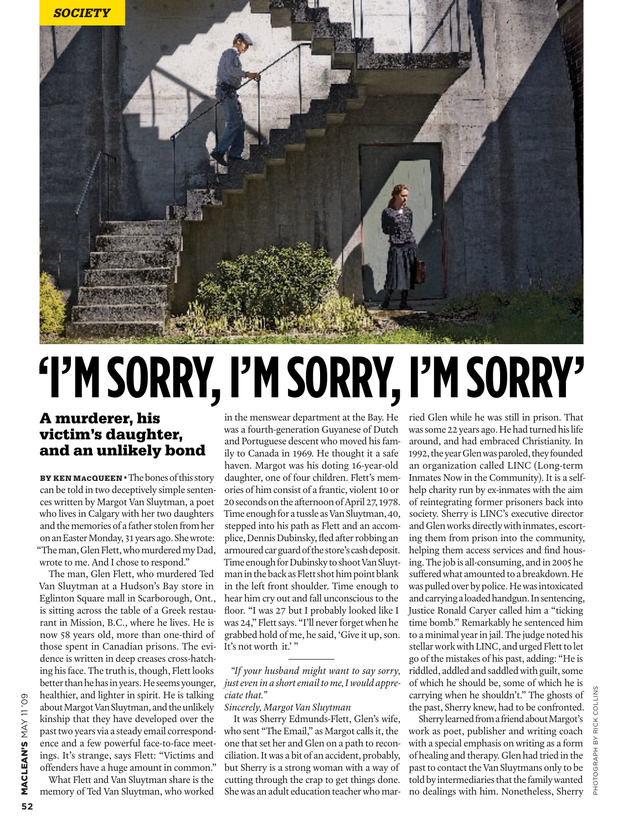

# **'I'm sorry, I'm sorry, I'm sorry'**

## A murderer, his victim's daughter, and an unlikely bond

BY KEN MACQUEEN • The bones of this story can be told in two deceptively simple sentences written by Margot Van Sluytman, a poet who lives in Calgary with her two daughters and the memories of a father stolen from her on an Easter Monday, 31 years ago. She wrote: "The man, Glen Flett, who murdered my Dad, wrote to me. And I chose to respond."

The man, Glen Flett, who murdered Ted Van Sluytman at a Hudson's Bay store in Eglinton Square mall in Scarborough, Ont., is sitting across the table of a Greek restaurant in Mission, B.C., where he lives. He is now 58 years old, more than one-third of those spent in Canadian prisons. The evidence is written in deep creases cross-hatching his face. The truth is, though, Flett looks better than he has in years. He seems younger, healthier, and lighter in spirit. He is talking about Margot Van Sluytman, and the unlikely kinship that they have developed over the past two years via a steady email correspondence and a few powerful face-to-face meetings. It's strange, says Flett: "Victims and offenders have a huge amount in common."

What Flett and Van Sluytman share is the memory of Ted Van Sluytman, who worked

in the menswear department at the Bay. He was a fourth-generation Guyanese of Dutch and Portuguese descent who moved his family to Canada in 1969. He thought it a safe haven. Margot was his doting 16-year-old daughter, one of four children. Flett's memories of him consist of a frantic, violent 10 or 20 seconds on the afternoon of April 27, 1978. Time enough for a tussle as Van Sluytman, 40, stepped into his path as Flett and an accomplice, Dennis Dubinsky, fled after robbing an armoured car guard of the store's cash deposit. Time enough for Dubinsky to shoot Van Sluytman in the back as Flett shot him point blank in the left front shoulder. Time enough to hear him cry out and fall unconscious to the floor. "I was 27 but I probably looked like I was 24," Flett says. "I'll never forget when he grabbed hold of me, he said, 'Give it up, son. It's not worth it.'"

### *"If your husband might want to say sorry, just even in a short email to me, I would appreciate that."*

*Sincerely, Margot Van Sluytman*

It was Sherry Edmunds-Flett, Glen's wife, who sent "The Email," as Margot calls it, the one that set her and Glen on a path to reconciliation. It was a bit of an accident, probably, but Sherry is a strong woman with a way of cutting through the crap to get things done. She was an adult education teacher who mar-

ried Glen while he was still in prison. That was some 22 years ago. He had turned his life around, and had embraced Christianity. In 1992, the year Glen was paroled, they founded an organization called LINC (Long-term Inmates Now in the Community). It is a selfhelp charity run by ex-inmates with the aim of reintegrating former prisoners back into society. Sherry is LINC's executive director and Glen works directly with inmates, escorting them from prison into the community, helping them access services and find housing. The job is all-consuming, and in 2005 he suffered what amounted to a breakdown. He was pulled over by police. He was intoxicated and carrying a loaded handgun. In sentencing, Justice Ronald Caryer called him a "ticking time bomb." Remarkably he sentenced him to a minimal year in jail. The judge noted his stellar work with LINC, and urged Flett to let go of the mistakes of his past, adding: "He is riddled, addled and saddled with guilt, some of which he should be, some of which he is carrying when he shouldn't." The ghosts of the past, Sherry knew, had to be confronted.

Sherry learned from a friend about Margot's work as poet, publisher and writing coach with a special emphasis on writing as a form of healing and therapy. Glen had tried in the past to contact the Van Sluytmans only to be told by intermediaries that the family wanted no dealings with him. Nonetheless, Sherry